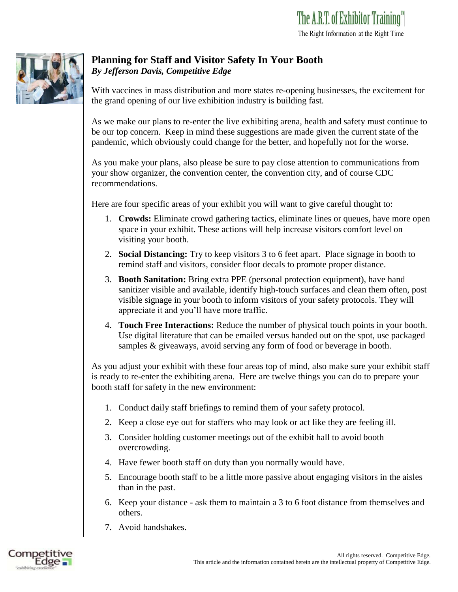

## **Planning for Staff and Visitor Safety In Your Booth** *By Jefferson Davis, Competitive Edge*

With vaccines in mass distribution and more states re-opening businesses, the excitement for the grand opening of our live exhibition industry is building fast.

As we make our plans to re-enter the live exhibiting arena, health and safety must continue to be our top concern. Keep in mind these suggestions are made given the current state of the pandemic, which obviously could change for the better, and hopefully not for the worse.

As you make your plans, also please be sure to pay close attention to communications from your show organizer, the convention center, the convention city, and of course CDC recommendations.

Here are four specific areas of your exhibit you will want to give careful thought to:

- 1. **Crowds:** Eliminate crowd gathering tactics, eliminate lines or queues, have more open space in your exhibit. These actions will help increase visitors comfort level on visiting your booth.
- 2. **Social Distancing:** Try to keep visitors 3 to 6 feet apart. Place signage in booth to remind staff and visitors, consider floor decals to promote proper distance.
- 3. **Booth Sanitation:** Bring extra PPE (personal protection equipment), have hand sanitizer visible and available, identify high-touch surfaces and clean them often, post visible signage in your booth to inform visitors of your safety protocols. They will appreciate it and you'll have more traffic.
- 4. **Touch Free Interactions:** Reduce the number of physical touch points in your booth. Use digital literature that can be emailed versus handed out on the spot, use packaged samples & giveaways, avoid serving any form of food or beverage in booth.

As you adjust your exhibit with these four areas top of mind, also make sure your exhibit staff is ready to re-enter the exhibiting arena. Here are twelve things you can do to prepare your booth staff for safety in the new environment:

- 1. Conduct daily staff briefings to remind them of your safety protocol.
- 2. Keep a close eye out for staffers who may look or act like they are feeling ill.
- 3. Consider holding customer meetings out of the exhibit hall to avoid booth overcrowding.
- 4. Have fewer booth staff on duty than you normally would have.
- 5. Encourage booth staff to be a little more passive about engaging visitors in the aisles than in the past.
- 6. Keep your distance ask them to maintain a 3 to 6 foot distance from themselves and others.
- 7. Avoid handshakes.